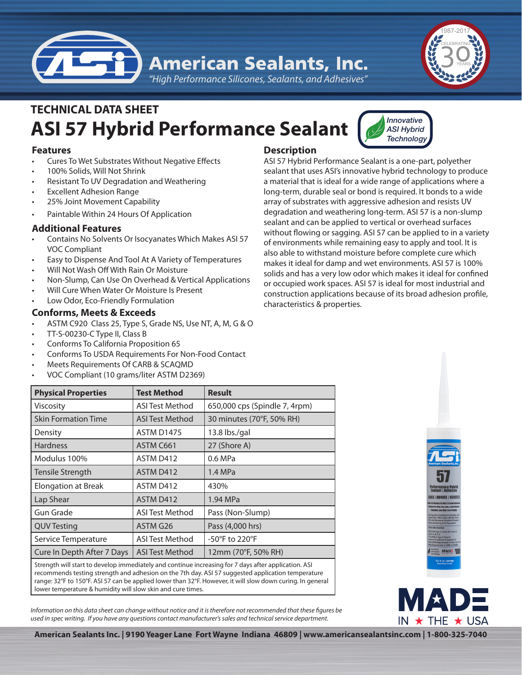

*"High Performance Silicones, Sealants, and Adhesives"*

# **ASI 57 Hybrid Performance Sealant TECHNICAL DATA SHEET**



- **Cures To Wet Substrates Without Negative Effects**
- 100% Solids, Will Not Shrink
- Resistant To UV Degradation and Weathering
- **Excellent Adhesion Range**
- 25% Joint Movement Capability
- Paintable Within 24 Hours Of Application

# **Additional Features**

- Contains No Solvents Or Isocyanates Which Makes ASI 57 VOC Compliant
- Easy to Dispense And Tool At A Variety of Temperatures
- Will Not Wash Off With Rain Or Moisture
- Non-Slump, Can Use On Overhead & Vertical Applications
- Will Cure When Water Or Moisture Is Present
- Low Odor, Eco-Friendly Formulation

# **Conforms, Meets & Exceeds**

- ASTM C920 Class 25, Type S, Grade NS, Use NT, A, M, G & O
- TT-S-00230-C Type II, Class B
- Conforms To California Proposition 65
- Conforms To USDA Requirements For Non-Food Contact
- Meets Requirements Of CARB & SCAQMD
- VOC Compliant (10 grams/liter ASTM D2369)

# **Description**

ASI 57 Hybrid Performance Sealant is a one-part, polyether sealant that uses ASI's innovative hybrid technology to produce a material that is ideal for a wide range of applications where a long-term, durable seal or bond is required. It bonds to a wide array of substrates with aggressive adhesion and resists UV degradation and weathering long-term. ASI 57 is a non-slump sealant and can be applied to vertical or overhead surfaces without flowing or sagging. ASI 57 can be applied to in a variety of environments while remaining easy to apply and tool. It is also able to withstand moisture before complete cure which makes it ideal for damp and wet environments. ASI 57 is 100% solids and has a very low odor which makes it ideal for confined or occupied work spaces. ASI 57 is ideal for most industrial and construction applications because of its broad adhesion profile, characteristics & properties.

*Innovative ASI Hybrid Technology*

| <b>Physical Properties</b> | <b>Test Method</b>     | <b>Result</b>                 |
|----------------------------|------------------------|-------------------------------|
| <b>Viscosity</b>           | ASI Test Method        | 650,000 cps (Spindle 7, 4rpm) |
| <b>Skin Formation Time</b> | ASI Test Method        | 30 minutes (70°F, 50% RH)     |
| Density                    | <b>ASTM D1475</b>      | $13.8$ lbs./gal               |
| <b>Hardness</b>            | ASTM C661              | 27 (Shore A)                  |
| Modulus 100%               | ASTM D412              | 0.6 MPa                       |
| Tensile Strength           | ASTM D412              | 1.4 MPa                       |
| Elongation at Break        | ASTM D412              | 430%                          |
| Lap Shear                  | ASTM D412              | 1.94 MPa                      |
| <b>Gun Grade</b>           | <b>ASI Test Method</b> | Pass (Non-Slump)              |
| <b>QUV Testing</b>         | ASTM G26               | Pass (4,000 hrs)              |
| Service Temperature        | <b>ASI Test Method</b> | -50°F to 220°F                |
| Cure In Depth After 7 Days | <b>ASI Test Method</b> | 12mm (70°F, 50% RH)           |
|                            |                        |                               |

Strength will start to develop immediately and continue increasing for 7 days after application. ASI recommends testing strength and adhesion on the 7th day. ASI 57 suggested application temperature range: 32°F to 150°F. ASI 57 can be applied lower than 32°F. However, it will slow down curing. In general lower temperature & humidity will slow skin and cure times.

*Information on this data sheet can change without notice and it is therefore not recommended that these figures be used in spec writing. If you have any questions contact manufacturer's sales and technical service department.*





**American Sealants Inc. | 9190 Yeager Lane Fort Wayne Indiana 46809 | www.americansealantsinc.com | 1-800-325-7040**